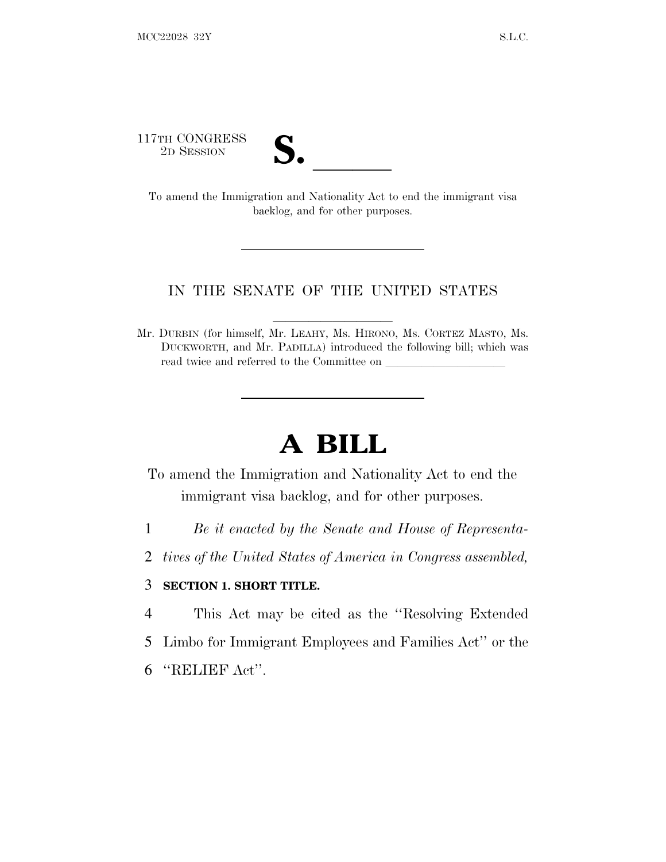117TH CONGRESS



TTH CONGRESS<br>
2D SESSION<br>
To amend the Immigration and Nationality Act to end the immigrant visa backlog, and for other purposes.

## IN THE SENATE OF THE UNITED STATES

Mr. DURBIN (for himself, Mr. LEAHY, Ms. HIRONO, Ms. CORTEZ MASTO, Ms. DUCKWORTH, and Mr. PADILLA) introduced the following bill; which was read twice and referred to the Committee on

## **A BILL**

To amend the Immigration and Nationality Act to end the immigrant visa backlog, and for other purposes.

- 1 *Be it enacted by the Senate and House of Representa-*
- 2 *tives of the United States of America in Congress assembled,*

## 3 **SECTION 1. SHORT TITLE.**

- 4 This Act may be cited as the ''Resolving Extended
- 5 Limbo for Immigrant Employees and Families Act'' or the
- 6 ''RELIEF Act''.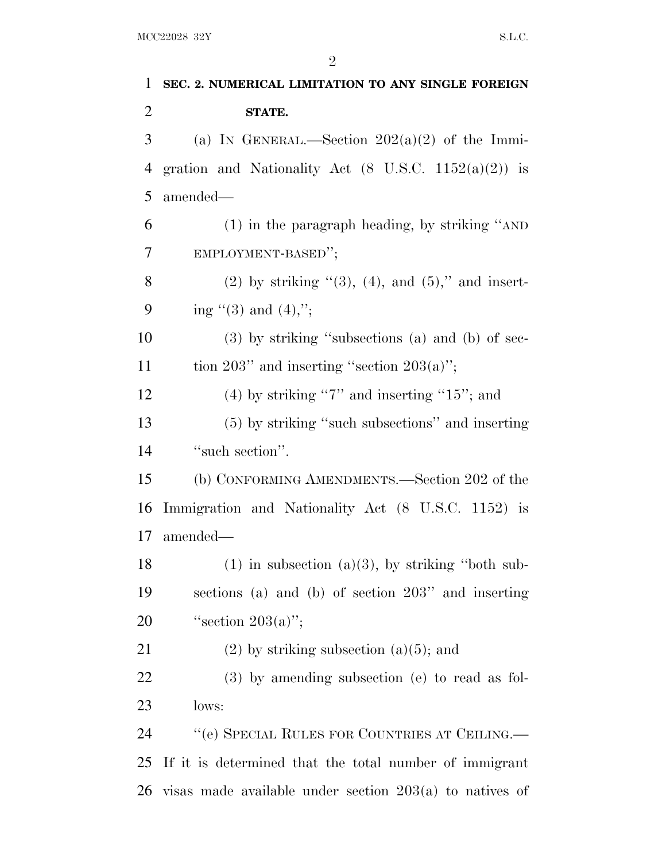| $\mathbf{1}$   | SEC. 2. NUMERICAL LIMITATION TO ANY SINGLE FOREIGN              |
|----------------|-----------------------------------------------------------------|
| $\overline{2}$ | STATE.                                                          |
| 3              | (a) IN GENERAL.—Section $202(a)(2)$ of the Immi-                |
| $\overline{4}$ | gration and Nationality Act $(8 \text{ U.S.C. } 1152(a)(2))$ is |
| 5              | amended—                                                        |
| 6              | $(1)$ in the paragraph heading, by striking "AND                |
| 7              | EMPLOYMENT-BASED";                                              |
| 8              | (2) by striking $(3)$ , (4), and (5)," and insert-              |
| 9              | ing "(3) and $(4)$ ,";                                          |
| 10             | $(3)$ by striking "subsections (a) and (b) of sec-              |
| 11             | tion 203" and inserting "section $203(a)$ ";                    |
| 12             | $(4)$ by striking "7" and inserting "15"; and                   |
| 13             | (5) by striking "such subsections" and inserting                |
| 14             | "such section".                                                 |
| 15             | (b) CONFORMING AMENDMENTS.—Section 202 of the                   |
| 16             | Immigration and Nationality Act (8 U.S.C. 1152) is              |
| 17             | amended—                                                        |
| 18             | $(1)$ in subsection $(a)(3)$ , by striking "both sub-           |
| 19             | sections (a) and (b) of section 203" and inserting              |
| 20             | "section $203(a)$ ";                                            |
| 21             | $(2)$ by striking subsection $(a)(5)$ ; and                     |
| 22             | $(3)$ by amending subsection (e) to read as fol-                |
| 23             | lows:                                                           |
| 24             | "(e) SPECIAL RULES FOR COUNTRIES AT CEILING.—                   |
| 25             | If it is determined that the total number of immigrant          |
| 26             | visas made available under section $203(a)$ to natives of       |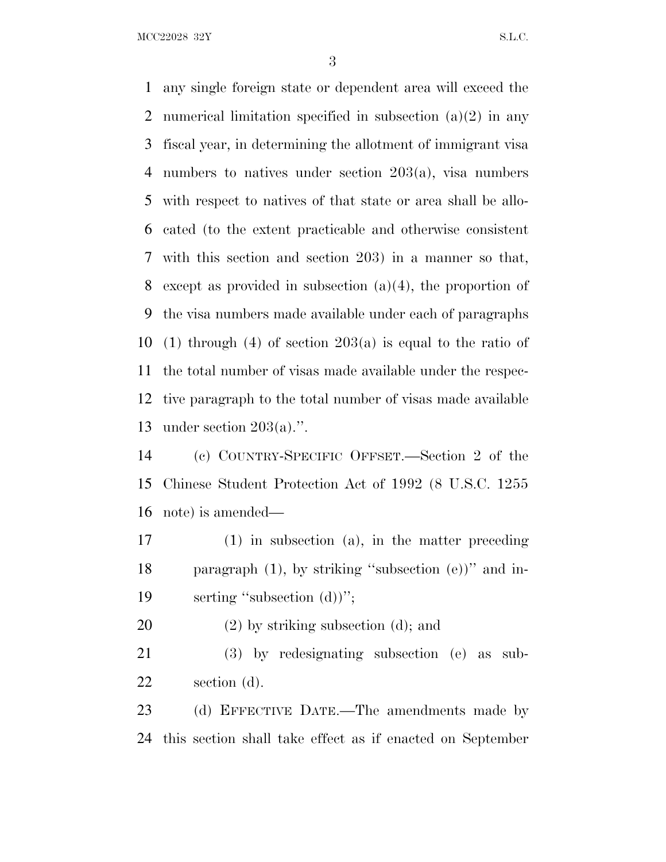MCC22028 32Y S.L.C.

 any single foreign state or dependent area will exceed the numerical limitation specified in subsection (a)(2) in any fiscal year, in determining the allotment of immigrant visa numbers to natives under section 203(a), visa numbers with respect to natives of that state or area shall be allo- cated (to the extent practicable and otherwise consistent with this section and section 203) in a manner so that, except as provided in subsection (a)(4), the proportion of the visa numbers made available under each of paragraphs 10 (1) through (4) of section  $203(a)$  is equal to the ratio of the total number of visas made available under the respec- tive paragraph to the total number of visas made available under section 203(a).''.

 (c) COUNTRY-SPECIFIC OFFSET.—Section 2 of the Chinese Student Protection Act of 1992 (8 U.S.C. 1255 note) is amended—

 (1) in subsection (a), in the matter preceding paragraph (1), by striking ''subsection (e))'' and in-19 serting "subsection (d))";

(2) by striking subsection (d); and

 (3) by redesignating subsection (e) as sub-section (d).

23 (d) EFFECTIVE DATE.—The amendments made by this section shall take effect as if enacted on September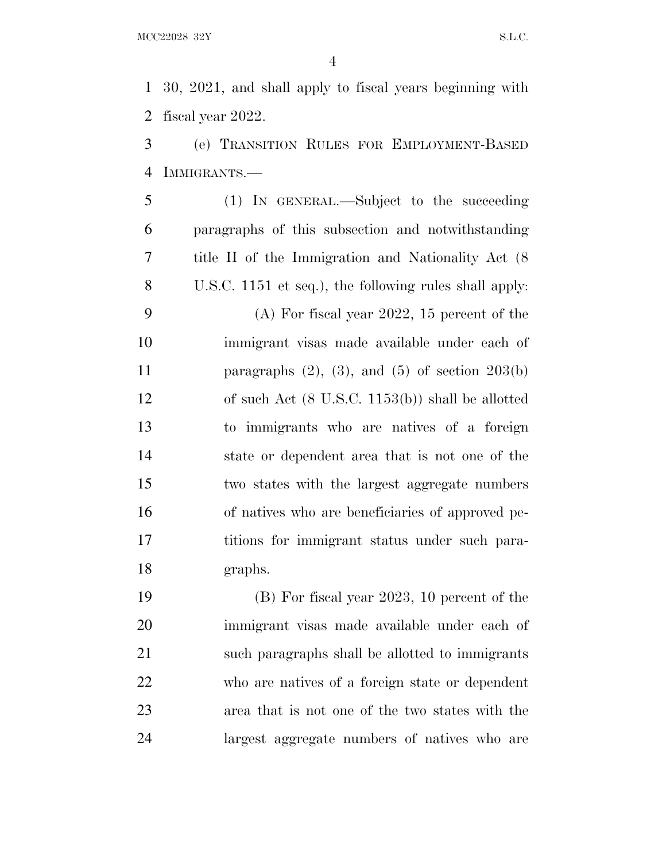30, 2021, and shall apply to fiscal years beginning with fiscal year 2022.

 (e) TRANSITION RULES FOR EMPLOYMENT-BASED IMMIGRANTS.—

 (1) IN GENERAL.—Subject to the succeeding paragraphs of this subsection and notwithstanding title II of the Immigration and Nationality Act (8 U.S.C. 1151 et seq.), the following rules shall apply: (A) For fiscal year 2022, 15 percent of the immigrant visas made available under each of 11 paragraphs  $(2)$ ,  $(3)$ , and  $(5)$  of section  $203(b)$  of such Act (8 U.S.C. 1153(b)) shall be allotted to immigrants who are natives of a foreign state or dependent area that is not one of the two states with the largest aggregate numbers of natives who are beneficiaries of approved pe-17 titions for immigrant status under such para-graphs.

 (B) For fiscal year 2023, 10 percent of the immigrant visas made available under each of such paragraphs shall be allotted to immigrants who are natives of a foreign state or dependent area that is not one of the two states with the largest aggregate numbers of natives who are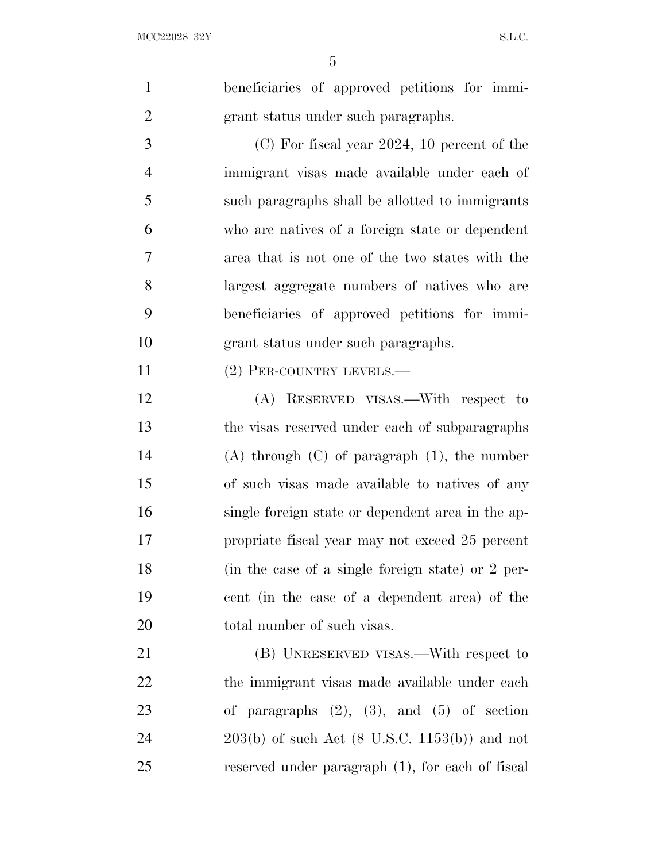| $\mathbf{1}$   | beneficiaries of approved petitions for immi-              |
|----------------|------------------------------------------------------------|
| $\overline{2}$ | grant status under such paragraphs.                        |
| 3              | $(C)$ For fiscal year 2024, 10 percent of the              |
| $\overline{4}$ | immigrant visas made available under each of               |
| 5              | such paragraphs shall be allotted to immigrants            |
| 6              | who are natives of a foreign state or dependent            |
| $\overline{7}$ | area that is not one of the two states with the            |
| 8              | largest aggregate numbers of natives who are               |
| 9              | beneficiaries of approved petitions for immi-              |
| 10             | grant status under such paragraphs.                        |
| 11             | (2) PER-COUNTRY LEVELS.—                                   |
| 12             | (A) RESERVED VISAS.—With respect to                        |
| 13             | the visas reserved under each of subparagraphs             |
| 14             | $(A)$ through $(C)$ of paragraph $(1)$ , the number        |
| 15             | of such visas made available to natives of any             |
| 16             | single foreign state or dependent area in the ap-          |
| 17             | propriate fiscal year may not exceed 25 percent            |
| 18             | (in the case of a single foreign state) or 2 per-          |
| 19             | cent (in the case of a dependent area) of the              |
| 20             | total number of such visas.                                |
| 21             | (B) UNRESERVED VISAS.—With respect to                      |
| 22             | the immigrant visas made available under each              |
| 23             | of paragraphs $(2)$ , $(3)$ , and $(5)$ of section         |
| 24             | $203(b)$ of such Act $(8 \text{ U.S.C. } 1153(b))$ and not |
| 25             | reserved under paragraph (1), for each of fiscal           |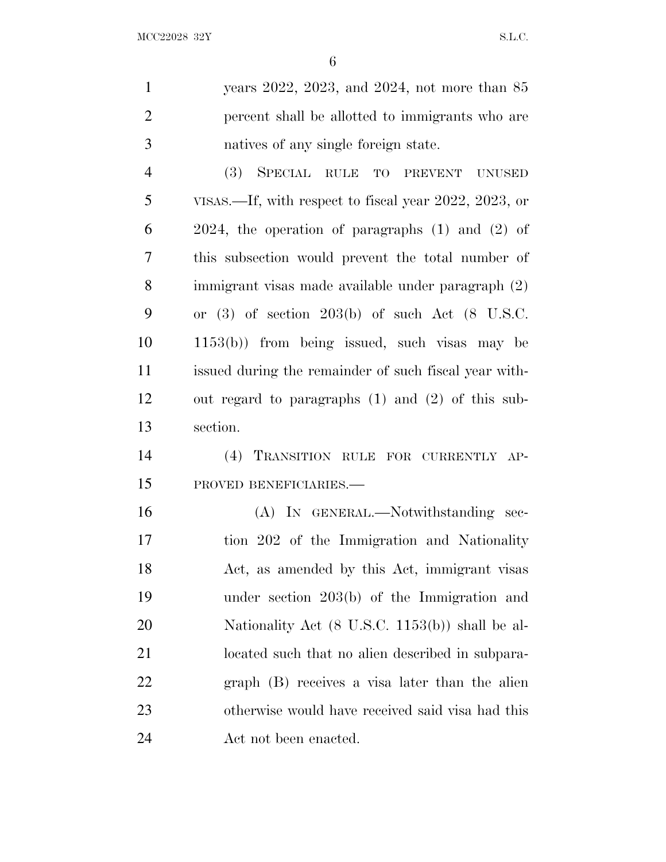| $\mathbf{1}$   | years $2022$ , $2023$ , and $2024$ , not more than $85$    |
|----------------|------------------------------------------------------------|
| $\overline{2}$ | percent shall be allotted to immigrants who are            |
| 3              | natives of any single foreign state.                       |
| $\overline{4}$ | (3)<br>SPECIAL RULE TO PREVENT<br><b>UNUSED</b>            |
| 5              | VISAS.—If, with respect to fiscal year 2022, 2023, or      |
| 6              | $2024$ , the operation of paragraphs $(1)$ and $(2)$ of    |
| 7              | this subsection would prevent the total number of          |
| 8              | immigrant visas made available under paragraph (2)         |
| 9              | or $(3)$ of section $203(b)$ of such Act $(8)$ U.S.C.      |
| 10             | $1153(b)$ from being issued, such visas may be             |
| 11             | issued during the remainder of such fiscal year with-      |
| 12             | out regard to paragraphs $(1)$ and $(2)$ of this sub-      |
| 13             | section.                                                   |
| 14             | (4) TRANSITION RULE FOR CURRENTLY AP-                      |
| 15             | PROVED BENEFICIARIES.-                                     |
| 16             | (A) IN GENERAL.—Notwithstanding sec-                       |
| 17             | tion 202 of the Immigration and Nationality                |
| 18             | Act, as amended by this Act, immigrant visas               |
| 19             | under section $203(b)$ of the Immigration and              |
| 20             | Nationality Act $(8 \text{ U.S.C. } 1153(b))$ shall be al- |
| 21             | located such that no alien described in subpara-           |
| 22             | graph (B) receives a visa later than the alien             |
| 23             | otherwise would have received said visa had this           |
| 24             | Act not been enacted.                                      |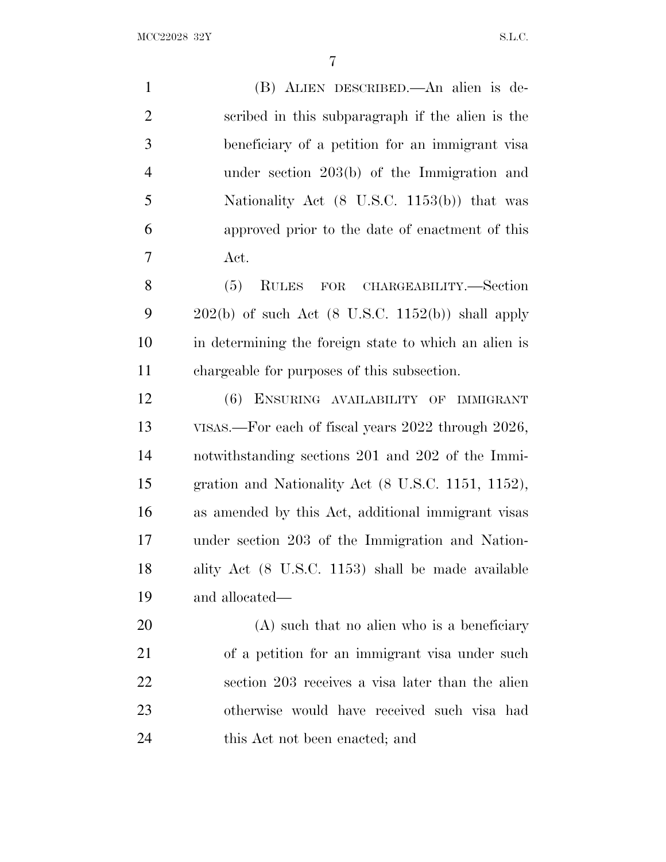(B) ALIEN DESCRIBED.—An alien is de- scribed in this subparagraph if the alien is the beneficiary of a petition for an immigrant visa under section 203(b) of the Immigration and Nationality Act (8 U.S.C. 1153(b)) that was approved prior to the date of enactment of this Act. (5) RULES FOR CHARGEABILITY.—Section  $202(b)$  of such Act (8 U.S.C. 1152(b)) shall apply

 in determining the foreign state to which an alien is chargeable for purposes of this subsection.

 (6) ENSURING AVAILABILITY OF IMMIGRANT VISAS.—For each of fiscal years 2022 through 2026, notwithstanding sections 201 and 202 of the Immi- gration and Nationality Act (8 U.S.C. 1151, 1152), as amended by this Act, additional immigrant visas under section 203 of the Immigration and Nation- ality Act (8 U.S.C. 1153) shall be made available and allocated—

 (A) such that no alien who is a beneficiary of a petition for an immigrant visa under such section 203 receives a visa later than the alien otherwise would have received such visa had 24 this Act not been enacted; and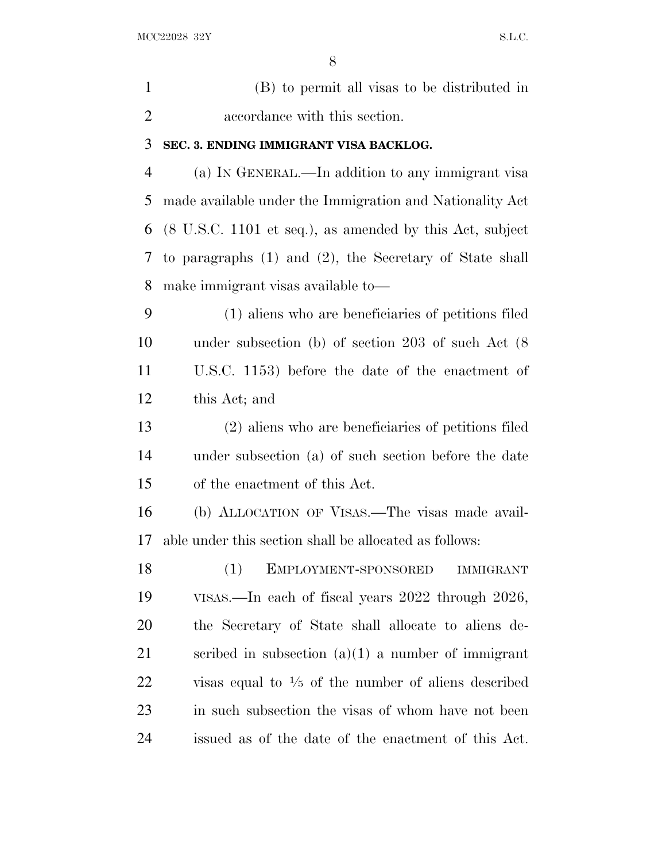(B) to permit all visas to be distributed in accordance with this section. **SEC. 3. ENDING IMMIGRANT VISA BACKLOG.** (a) I<sup>N</sup> GENERAL.—In addition to any immigrant visa made available under the Immigration and Nationality Act (8 U.S.C. 1101 et seq.), as amended by this Act, subject to paragraphs (1) and (2), the Secretary of State shall make immigrant visas available to—

 (1) aliens who are beneficiaries of petitions filed under subsection (b) of section 203 of such Act (8 U.S.C. 1153) before the date of the enactment of this Act; and

 (2) aliens who are beneficiaries of petitions filed under subsection (a) of such section before the date of the enactment of this Act.

 (b) ALLOCATION OF VISAS.—The visas made avail-able under this section shall be allocated as follows:

 (1) EMPLOYMENT-SPONSORED IMMIGRANT VISAS.—In each of fiscal years 2022 through 2026, the Secretary of State shall allocate to aliens de-21 scribed in subsection  $(a)(1)$  a number of immigrant  $\gamma$  visas equal to  $\frac{1}{5}$  of the number of aliens described in such subsection the visas of whom have not been issued as of the date of the enactment of this Act.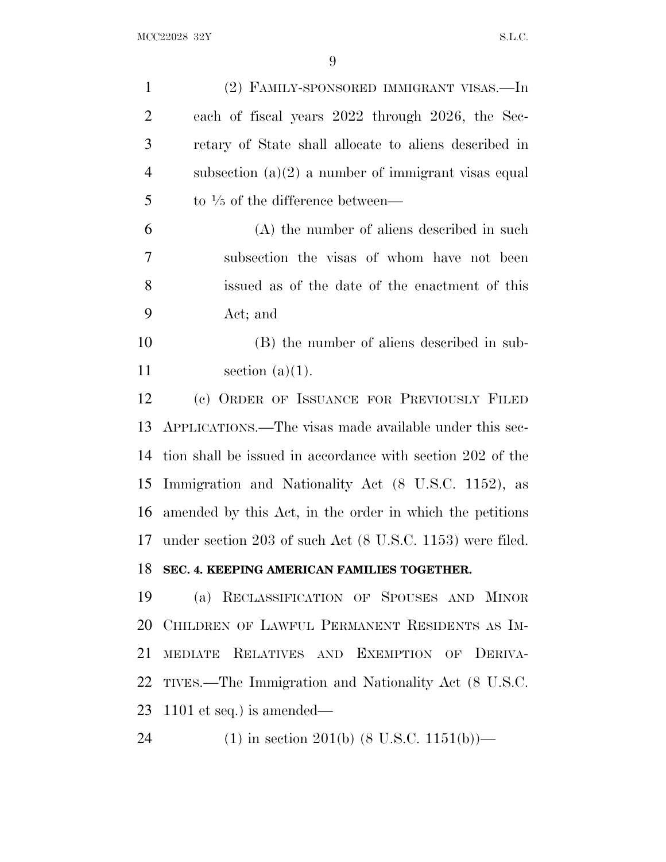| $\mathbf{1}$   | (2) FAMILY-SPONSORED IMMIGRANT VISAS.—In                   |
|----------------|------------------------------------------------------------|
| $\overline{2}$ | each of fiscal years 2022 through 2026, the Sec-           |
| 3              | retary of State shall allocate to aliens described in      |
| $\overline{4}$ | subsection $(a)(2)$ a number of immigrant visas equal      |
| 5              | to $\frac{1}{5}$ of the difference between—                |
| 6              | (A) the number of aliens described in such                 |
| 7              | subsection the visas of whom have not been                 |
| 8              | issued as of the date of the enactment of this             |
| 9              | Act; and                                                   |
| 10             | (B) the number of aliens described in sub-                 |
| 11             | section $(a)(1)$ .                                         |
| 12             | (c) ORDER OF ISSUANCE FOR PREVIOUSLY FILED                 |
| 13             | APPLICATIONS.—The visas made available under this sec-     |
| 14             | tion shall be issued in accordance with section 202 of the |
| 15             | Immigration and Nationality Act (8 U.S.C. 1152), as        |
| 16             | amended by this Act, in the order in which the petitions   |
| 17             | under section 203 of such Act (8 U.S.C. 1153) were filed.  |
| 18             | SEC. 4. KEEPING AMERICAN FAMILIES TOGETHER.                |
| 19             | RECLASSIFICATION OF SPOUSES AND MINOR<br>(a)               |
| 20             | CHILDREN OF LAWFUL PERMANENT RESIDENTS AS IM-              |
| 21             | MEDIATE RELATIVES AND EXEMPTION OF DERIVA-                 |
| 22             | TIVES.—The Immigration and Nationality Act (8 U.S.C.       |
| 23             | $1101$ et seq.) is amended—                                |
| 24             | $(1)$ in section 201(b) $(8 \text{ U.S.C. } 1151(b))$ —    |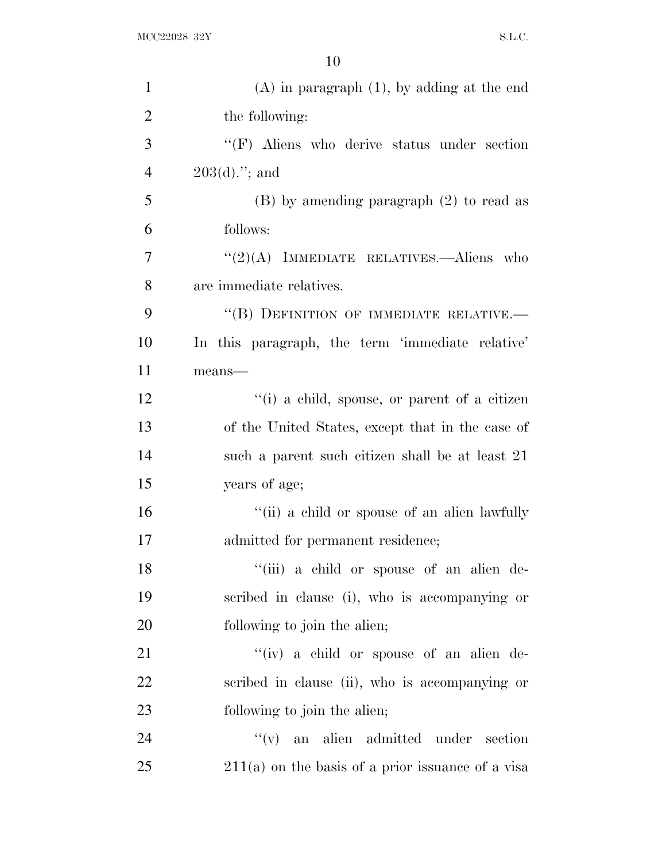| $\mathbf{1}$   | $(A)$ in paragraph $(1)$ , by adding at the end     |
|----------------|-----------------------------------------------------|
| $\overline{2}$ | the following:                                      |
| 3              | $\lq\lq(F)$ Aliens who derive status under section  |
| $\overline{4}$ | $203(d)$ "; and                                     |
| 5              | $(B)$ by amending paragraph $(2)$ to read as        |
| 6              | follows:                                            |
| 7              | " $(2)(A)$ IMMEDIATE RELATIVES.—Aliens who          |
| 8              | are immediate relatives.                            |
| 9              | "(B) DEFINITION OF IMMEDIATE RELATIVE.-             |
| 10             | In this paragraph, the term 'immediate relative'    |
| 11             | means-                                              |
| 12             | "(i) a child, spouse, or parent of a citizen        |
| 13             | of the United States, except that in the case of    |
| 14             | such a parent such citizen shall be at least 21     |
| 15             | years of age;                                       |
| 16             | "(ii) a child or spouse of an alien lawfully        |
| 17             | admitted for permanent residence;                   |
| 18             | "(iii) a child or spouse of an alien de-            |
| 19             | scribed in clause (i), who is accompanying or       |
| 20             | following to join the alien;                        |
| 21             | "(iv) a child or spouse of an alien de-             |
| 22             | scribed in clause (ii), who is accompanying or      |
| 23             | following to join the alien;                        |
| 24             | ``(v)<br>an alien admitted under section            |
| 25             | $211(a)$ on the basis of a prior issuance of a visa |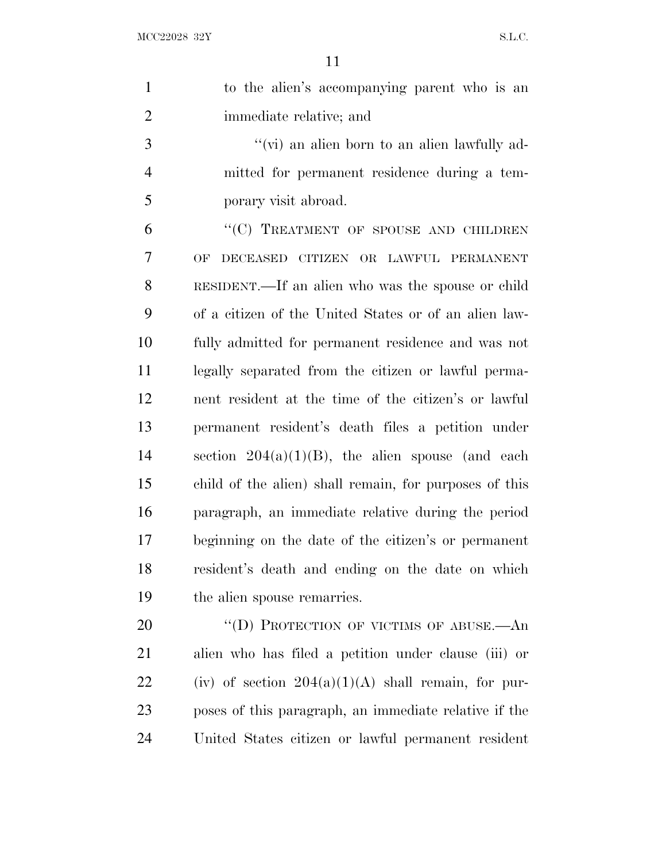| $\mathbf{1}$   | to the alien's accompanying parent who is an           |
|----------------|--------------------------------------------------------|
| $\overline{2}$ | immediate relative; and                                |
| 3              | "(vi) an alien born to an alien lawfully ad-           |
| $\overline{4}$ | mitted for permanent residence during a tem-           |
| 5              | porary visit abroad.                                   |
| 6              | "(C) TREATMENT OF SPOUSE AND CHILDREN                  |
| 7              | DECEASED CITIZEN OR LAWFUL PERMANENT<br>OF.            |
| 8              | RESIDENT.—If an alien who was the spouse or child      |
| 9              | of a citizen of the United States or of an alien law-  |
| 10             | fully admitted for permanent residence and was not     |
| 11             | legally separated from the citizen or lawful perma-    |
| 12             | nent resident at the time of the citizen's or lawful   |
| 13             | permanent resident's death files a petition under      |
| 14             | section $204(a)(1)(B)$ , the alien spouse (and each    |
| 15             | child of the alien) shall remain, for purposes of this |
| 16             | paragraph, an immediate relative during the period     |
| 17             | beginning on the date of the citizen's or permanent    |
| 18             | resident's death and ending on the date on which       |
| 19             | the alien spouse remarries.                            |
| 20             | "(D) PROTECTION OF VICTIMS OF ABUSE.—An                |
|                |                                                        |

 alien who has filed a petition under clause (iii) or 22 (iv) of section  $204(a)(1)(A)$  shall remain, for pur- poses of this paragraph, an immediate relative if the United States citizen or lawful permanent resident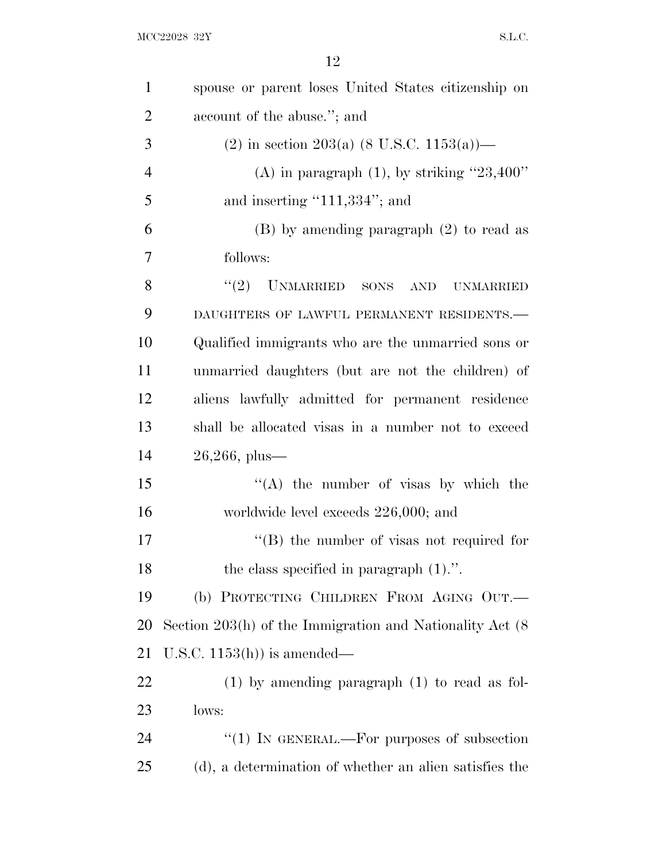| $\mathbf{1}$   | spouse or parent loses United States citizenship on           |
|----------------|---------------------------------------------------------------|
| $\overline{2}$ | account of the abuse."; and                                   |
| 3              | (2) in section 203(a) (8 U.S.C. 1153(a))—                     |
| $\overline{4}$ | (A) in paragraph $(1)$ , by striking "23,400"                 |
| 5              | and inserting " $111,334$ "; and                              |
| 6              | $(B)$ by amending paragraph $(2)$ to read as                  |
| 7              | follows:                                                      |
| 8              | UNMARRIED SONS AND<br>(2)<br><b>UNMARRIED</b>                 |
| 9              | DAUGHTERS OF LAWFUL PERMANENT RESIDENTS.-                     |
| 10             | Qualified immigrants who are the unmarried sons or            |
| 11             | unmarried daughters (but are not the children) of             |
| 12             | aliens lawfully admitted for permanent residence              |
| 13             | shall be allocated visas in a number not to exceed            |
| 14             | $26,266, \text{ plus}$                                        |
| 15             | "(A) the number of visas by which the                         |
| 16             | worldwide level exceeds 226,000; and                          |
| 17             | $\lq\lq (B)$ the number of visas not required for             |
| 18             | the class specified in paragraph $(1)$ .".                    |
| 19             | (b) PROTECTING CHILDREN FROM AGING OUT.                       |
| 20             | Section $203(h)$ of the Immigration and Nationality Act $(8)$ |
| 21             | U.S.C. $1153(h)$ is amended—                                  |
| 22             | $(1)$ by amending paragraph $(1)$ to read as fol-             |
| 23             | lows:                                                         |
| 24             | "(1) IN GENERAL.—For purposes of subsection                   |
| 25             | (d), a determination of whether an alien satisfies the        |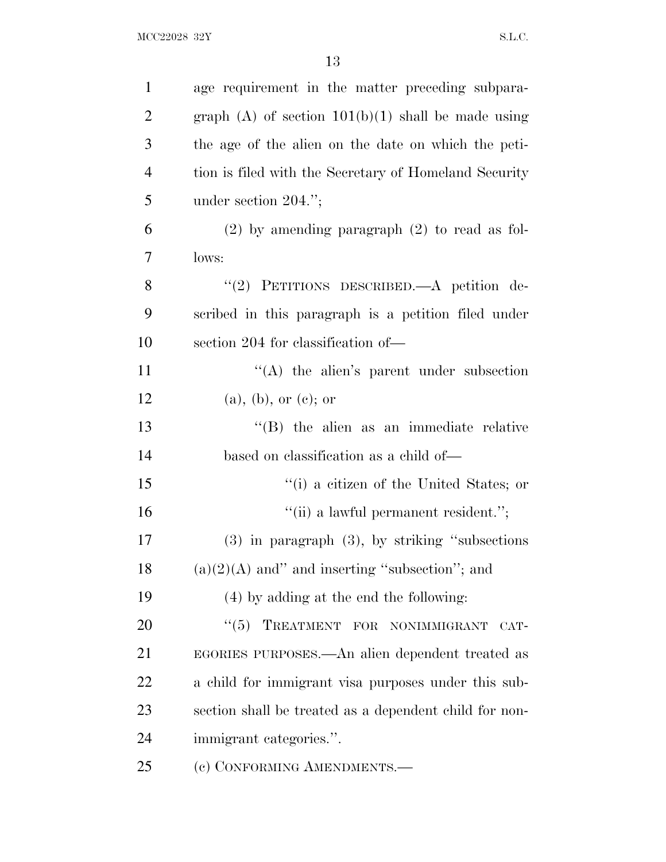| $\mathbf{1}$   | age requirement in the matter preceding subpara-       |
|----------------|--------------------------------------------------------|
| $\overline{2}$ | graph $(A)$ of section $101(b)(1)$ shall be made using |
| 3              | the age of the alien on the date on which the peti-    |
| $\overline{4}$ | tion is filed with the Secretary of Homeland Security  |
| 5              | under section $204."$ ;                                |
| 6              | $(2)$ by amending paragraph $(2)$ to read as fol-      |
| 7              | lows:                                                  |
| 8              | "(2) PETITIONS DESCRIBED.—A petition de-               |
| 9              | scribed in this paragraph is a petition filed under    |
| 10             | section 204 for classification of—                     |
| 11             | $\lq\lq$ the alien's parent under subsection           |
| 12             | (a), (b), or (c); or                                   |
| 13             | "(B) the alien as an immediate relative                |
| 14             | based on classification as a child of—                 |
| 15             | "(i) a citizen of the United States; or                |
| 16             | "(ii) a lawful permanent resident.";                   |
| 17             | $(3)$ in paragraph $(3)$ , by striking "subsections"   |
| 18             | $(a)(2)(A)$ and" and inserting "subsection"; and       |
| 19             | (4) by adding at the end the following:                |
| 20             | "(5) TREATMENT FOR NONIMMIGRANT<br>CAT-                |
| 21             | EGORIES PURPOSES.—An alien dependent treated as        |
| 22             | a child for immigrant visa purposes under this sub-    |
| 23             | section shall be treated as a dependent child for non- |
| 24             | immigrant categories.".                                |
| 25             | (c) CONFORMING AMENDMENTS.-                            |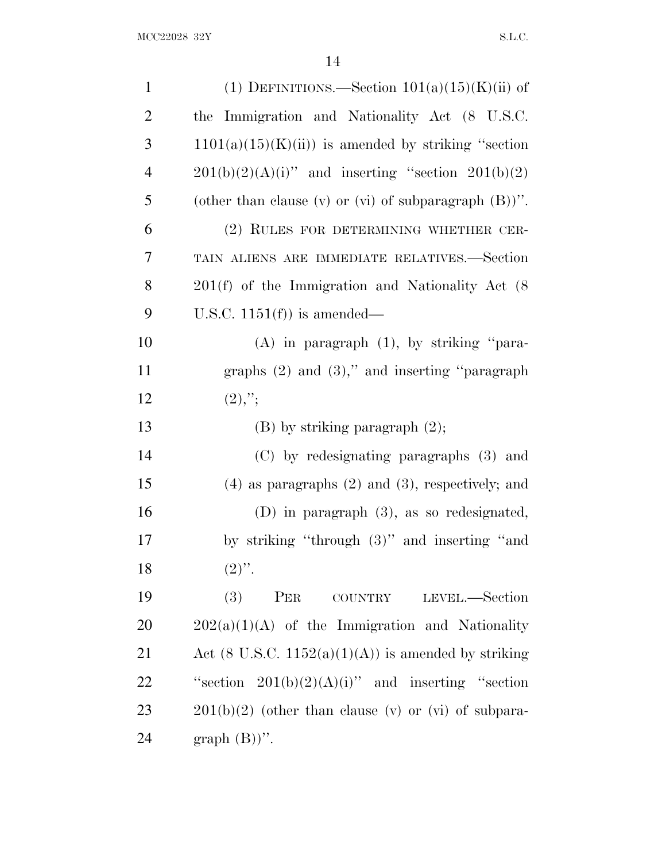| $\mathbf{1}$   | (1) DEFINITIONS.—Section $101(a)(15)(K)$ (ii) of             |
|----------------|--------------------------------------------------------------|
| $\overline{2}$ | the Immigration and Nationality Act (8 U.S.C.                |
| 3              | $1101(a)(15)(K(ii))$ is amended by striking "section         |
| $\overline{4}$ | $201(b)(2)(A)(i)$ " and inserting "section $201(b)(2)$       |
| 5              | (other than clause $(v)$ or $(vi)$ of subparagraph $(B)$ )". |
| 6              | (2) RULES FOR DETERMINING WHETHER CER-                       |
| 7              | TAIN ALIENS ARE IMMEDIATE RELATIVES.-Section                 |
| 8              | $201(f)$ of the Immigration and Nationality Act $(8)$        |
| 9              | U.S.C. $1151(f)$ is amended—                                 |
| 10             | $(A)$ in paragraph $(1)$ , by striking "para-                |
| 11             | graphs $(2)$ and $(3)$ ," and inserting "paragraph"          |
| 12             | $(2),$ ";                                                    |
| 13             | $(B)$ by striking paragraph $(2)$ ;                          |
| 14             | (C) by redesignating paragraphs (3) and                      |
| 15             | $(4)$ as paragraphs $(2)$ and $(3)$ , respectively; and      |
| 16             | $(D)$ in paragraph $(3)$ , as so redesignated,               |
| 17             | by striking "through $(3)$ " and inserting "and              |
|                |                                                              |
| 18             | $(2)$ ".                                                     |
| 19             | (3)<br>PER COUNTRY<br>LEVEL.-Section                         |
| 20             | $202(a)(1)(A)$ of the Immigration and Nationality            |
| 21             | Act (8 U.S.C. 1152(a)(1)(A)) is amended by striking          |
| 22             | "section $201(b)(2)(A)(i)$ " and inserting "section"         |
| 23             | $201(b)(2)$ (other than clause (v) or (vi) of subpara-       |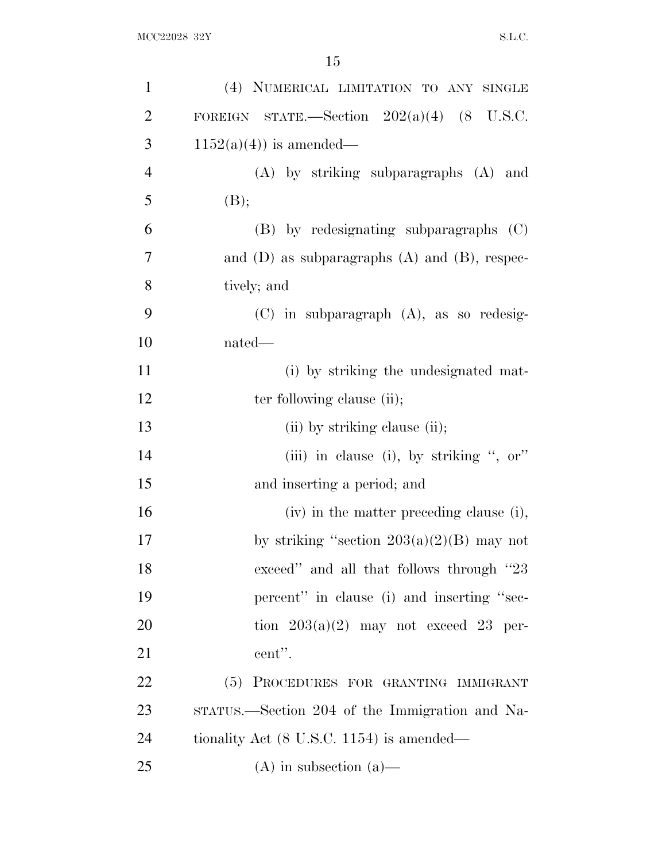| $\mathbf{1}$   | (4) NUMERICAL LIMITATION TO ANY SINGLE               |
|----------------|------------------------------------------------------|
| $\overline{2}$ | FOREIGN STATE.—Section $202(a)(4)$ (8 U.S.C.         |
| 3              | $1152(a)(4)$ is amended—                             |
| $\overline{4}$ | (A) by striking subparagraphs (A) and                |
| 5              | (B);                                                 |
| 6              | (B) by redesignating subparagraphs (C)               |
| 7              | and $(D)$ as subparagraphs $(A)$ and $(B)$ , respec- |
| 8              | tively; and                                          |
| 9              | $(C)$ in subparagraph $(A)$ , as so redesig-         |
| 10             | nated—                                               |
| 11             | (i) by striking the undesignated mat-                |
| 12             | ter following clause (ii);                           |
| 13             | (ii) by striking clause (ii);                        |
| 14             | (iii) in clause (i), by striking ", or"              |
| 15             | and inserting a period; and                          |
| 16             | (iv) in the matter preceding clause (i),             |
| 17             | by striking "section $203(a)(2)(B)$ may not          |
| 18             | exceed" and all that follows through "23             |
| 19             | percent" in clause (i) and inserting "sec-           |
| 20             | tion $203(a)(2)$ may not exceed 23 per-              |
| 21             | cent".                                               |
| 22             | PROCEDURES FOR GRANTING IMMIGRANT<br>(5)             |
| 23             | STATUS.—Section 204 of the Immigration and Na-       |
| 24             | tionality Act $(8 \text{ U.S.C. } 1154)$ is amended— |
| 25             | $(A)$ in subsection $(a)$ —                          |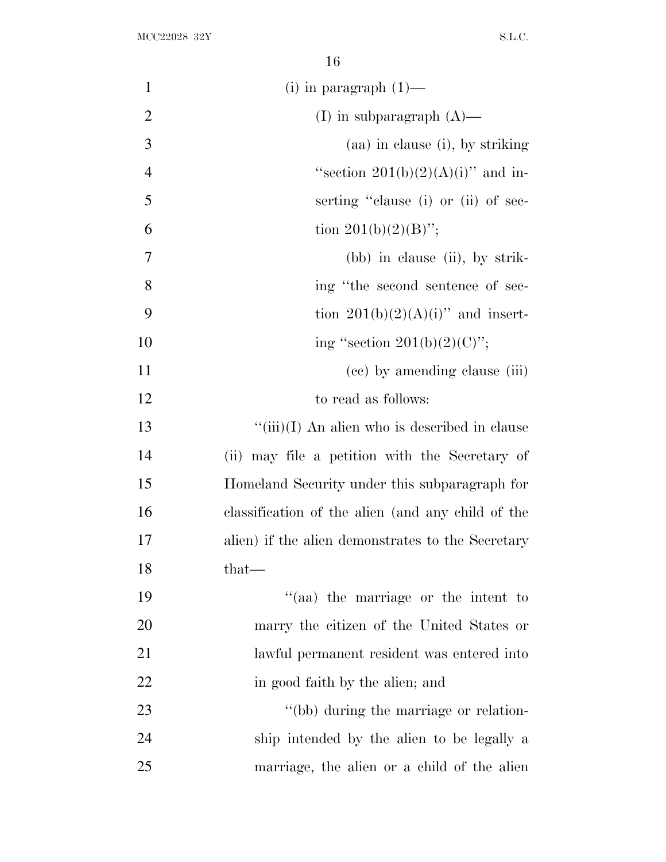| $\mathbf{1}$   | $(i)$ in paragraph $(1)$ —                        |
|----------------|---------------------------------------------------|
| $\overline{2}$ | (I) in subparagraph $(A)$ —                       |
| 3              | (aa) in clause (i), by striking                   |
| $\overline{4}$ | "section $201(b)(2)(A)(i)$ " and in-              |
| 5              | serting "clause (i) or (ii) of sec-               |
| 6              | tion $201(b)(2)(B)$ ";                            |
| 7              | (bb) in clause (ii), by strik-                    |
| 8              | ing "the second sentence of sec-                  |
| 9              | tion $201(b)(2)(A)(i)$ and insert-                |
| 10             | ing "section $201(b)(2)(C)$ ";                    |
| 11             | (cc) by amending clause (iii)                     |
| 12             | to read as follows:                               |
| 13             | $``(iii)(I)$ An alien who is described in clause  |
| 14             | (ii) may file a petition with the Secretary of    |
| 15             | Homeland Security under this subparagraph for     |
| 16             | classification of the alien (and any child of the |
| 17             | alien) if the alien demonstrates to the Secretary |
| 18             | $that-$                                           |
| 19             | "(aa) the marriage or the intent to               |
| 20             | marry the citizen of the United States or         |
| 21             | lawful permanent resident was entered into        |
| 22             | in good faith by the alien; and                   |
| 23             | "(bb) during the marriage or relation-            |
| 24             | ship intended by the alien to be legally a        |
| 25             | marriage, the alien or a child of the alien       |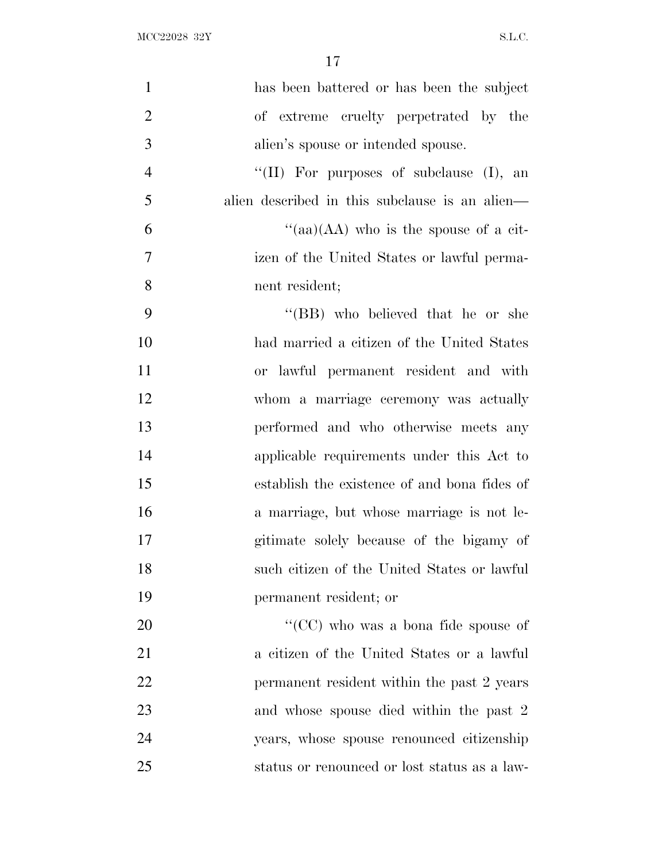| $\mathbf{1}$   | has been battered or has been the subject      |
|----------------|------------------------------------------------|
| $\overline{2}$ | of extreme cruelty perpetrated by the          |
| 3              | alien's spouse or intended spouse.             |
| $\overline{4}$ | "(II) For purposes of subclause $(I)$ , an     |
| 5              | alien described in this subclause is an alien— |
| 6              | "(aa)(AA) who is the spouse of a cit-          |
| $\overline{7}$ | izen of the United States or lawful perma-     |
| 8              | nent resident;                                 |
| 9              | "(BB) who believed that he or she              |
| 10             | had married a citizen of the United States     |
| 11             | or lawful permanent resident and with          |
| 12             | whom a marriage ceremony was actually          |
| 13             | performed and who otherwise meets any          |
| 14             | applicable requirements under this Act to      |
| 15             | establish the existence of and bona fides of   |
| 16             | a marriage, but whose marriage is not le-      |
| 17             | gitimate solely because of the bigamy of       |
| 18             | such citizen of the United States or lawful    |
| 19             | permanent resident; or                         |
| 20             | "(CC) who was a bona fide spouse of            |
| 21             | a citizen of the United States or a lawful     |
| 22             | permanent resident within the past 2 years     |
| 23             | and whose spouse died within the past 2        |
| 24             | years, whose spouse renounced citizenship      |
| 25             | status or renounced or lost status as a law-   |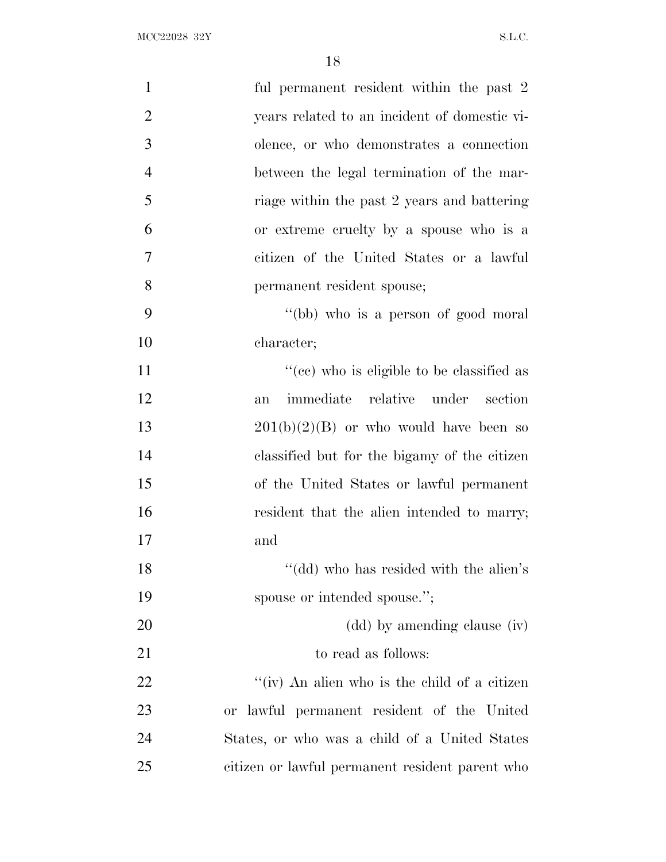| $\mathbf{1}$   | ful permanent resident within the past 2        |
|----------------|-------------------------------------------------|
| $\overline{2}$ | years related to an incident of domestic vi-    |
| 3              | olence, or who demonstrates a connection        |
| $\overline{4}$ | between the legal termination of the mar-       |
| 5              | riage within the past 2 years and battering     |
| 6              | or extreme cruelty by a spouse who is a         |
| 7              | citizen of the United States or a lawful        |
| 8              | permanent resident spouse;                      |
| 9              | "(bb) who is a person of good moral"            |
| 10             | character;                                      |
| 11             | "(cc) who is eligible to be classified as       |
| 12             | immediate relative under section<br>an          |
| 13             | $201(b)(2)(B)$ or who would have been so        |
| 14             | classified but for the bigamy of the citizen    |
| 15             | of the United States or lawful permanent        |
| 16             | resident that the alien intended to marry;      |
| 17             | and                                             |
| 18             | "(dd) who has resided with the alien's          |
| 19             | spouse or intended spouse.";                    |
| 20             | (dd) by amending clause (iv)                    |
| 21             | to read as follows:                             |
| 22             | "(iv) An alien who is the child of a citizen    |
| 23             | or lawful permanent resident of the United      |
| 24             | States, or who was a child of a United States   |
| 25             | citizen or lawful permanent resident parent who |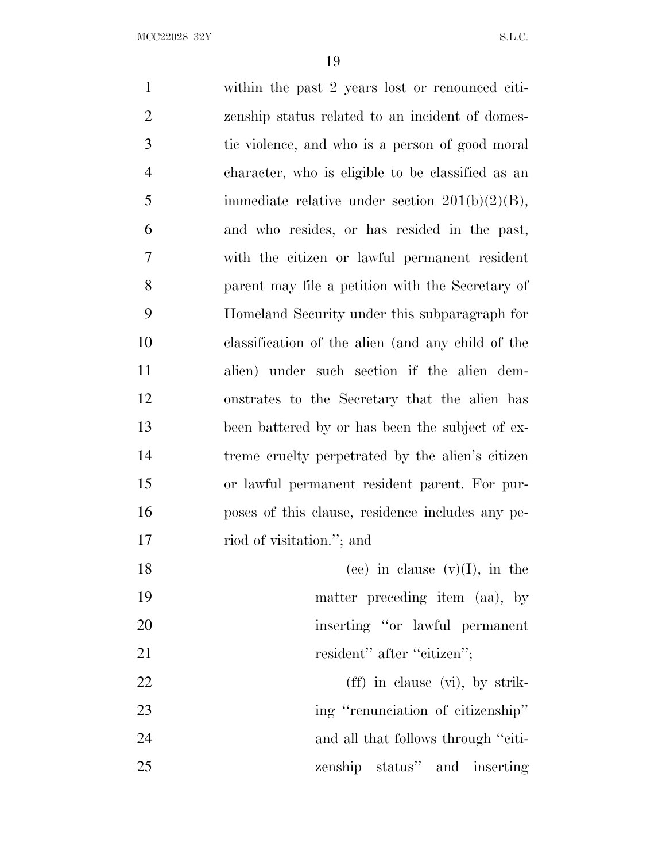within the past 2 years lost or renounced citi- zenship status related to an incident of domes- tic violence, and who is a person of good moral character, who is eligible to be classified as an 5 immediate relative under section  $201(b)(2)(B)$ , and who resides, or has resided in the past, with the citizen or lawful permanent resident parent may file a petition with the Secretary of Homeland Security under this subparagraph for classification of the alien (and any child of the alien) under such section if the alien dem- onstrates to the Secretary that the alien has been battered by or has been the subject of ex- treme cruelty perpetrated by the alien's citizen or lawful permanent resident parent. For pur- poses of this clause, residence includes any pe- riod of visitation.''; and 18 (ee) in clause  $(v)(I)$ , in the matter preceding item (aa), by inserting ''or lawful permanent 21 resident'' after "citizen"; 22 (ff) in clause (vi), by strik-23 ing "renunciation of citizenship" 24 and all that follows through "citi-

zenship status'' and inserting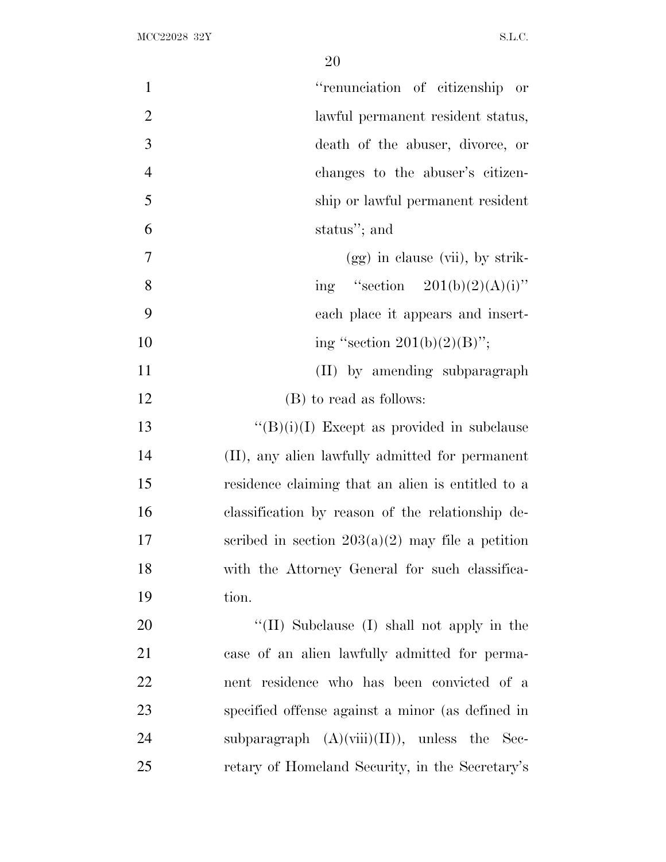| $\mathbf{1}$   | "renunciation of citizenship or                    |
|----------------|----------------------------------------------------|
| $\overline{2}$ | lawful permanent resident status,                  |
| 3              | death of the abuser, divorce, or                   |
| $\overline{4}$ | changes to the abuser's citizen-                   |
| 5              | ship or lawful permanent resident                  |
| 6              | status"; and                                       |
| 7              | $(gg)$ in clause (vii), by strik-                  |
| 8              | ing "section $201(b)(2)(A)(i)$ "                   |
| 9              | each place it appears and insert-                  |
| 10             | ing "section $201(b)(2)(B)$ ";                     |
| 11             | (II) by amending subparagraph                      |
| 12             | (B) to read as follows:                            |
| 13             | $\lq\lq(B)(i)(I)$ Except as provided in subclause  |
| 14             | (II), any alien lawfully admitted for permanent    |
| 15             | residence claiming that an alien is entitled to a  |
| 16             | classification by reason of the relationship de-   |
| 17             | scribed in section $203(a)(2)$ may file a petition |
| 18             | with the Attorney General for such classifica-     |
| 19             | tion.                                              |
| 20             | "(II) Subclause (I) shall not apply in the         |
| 21             | case of an alien lawfully admitted for perma-      |
| 22             | nent residence who has been convicted of a         |
| 23             | specified offense against a minor (as defined in   |
| 24             | subparagraph $(A)(viii)(II)),$ unless the Sec-     |
| 25             | retary of Homeland Security, in the Secretary's    |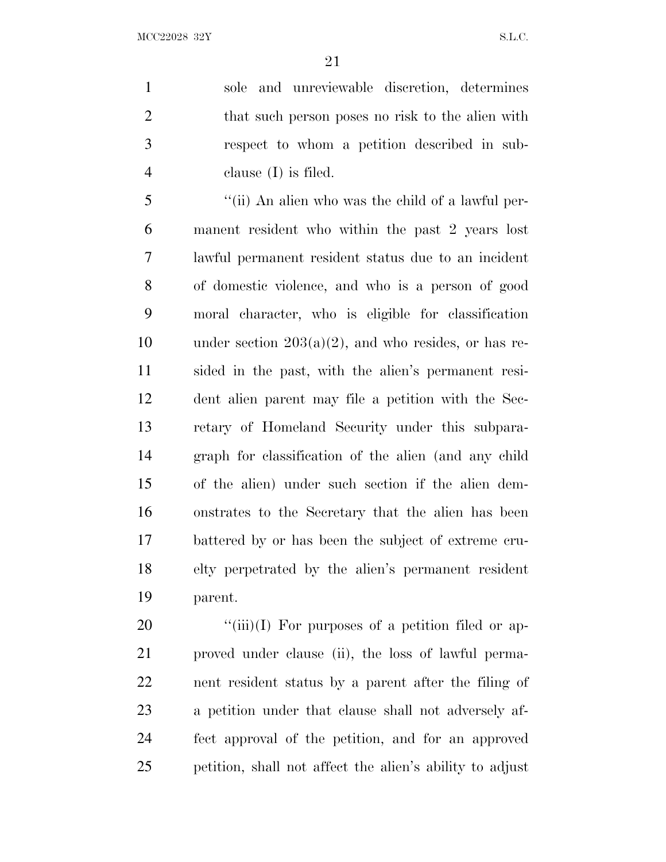MCC22028 32Y S.L.C.

 sole and unreviewable discretion, determines 2 that such person poses no risk to the alien with respect to whom a petition described in sub-clause (I) is filed.

 ''(ii) An alien who was the child of a lawful per- manent resident who within the past 2 years lost lawful permanent resident status due to an incident of domestic violence, and who is a person of good moral character, who is eligible for classification 10 under section  $203(a)(2)$ , and who resides, or has re- sided in the past, with the alien's permanent resi- dent alien parent may file a petition with the Sec- retary of Homeland Security under this subpara- graph for classification of the alien (and any child of the alien) under such section if the alien dem- onstrates to the Secretary that the alien has been battered by or has been the subject of extreme cru- elty perpetrated by the alien's permanent resident parent.

 $\frac{1}{20}$  (iii)(I) For purposes of a petition filed or ap- proved under clause (ii), the loss of lawful perma- nent resident status by a parent after the filing of a petition under that clause shall not adversely af- fect approval of the petition, and for an approved petition, shall not affect the alien's ability to adjust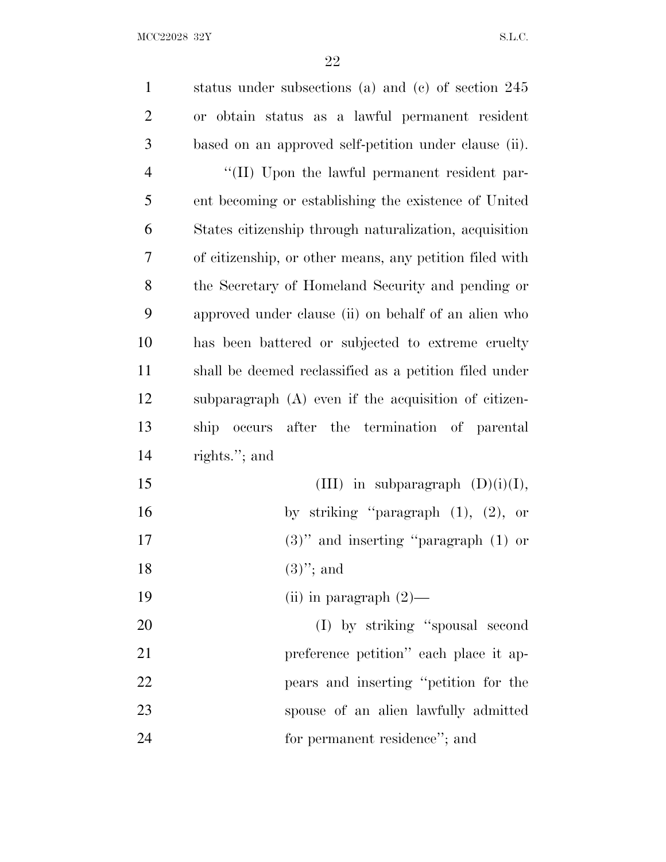| $\mathbf{1}$   | status under subsections (a) and (c) of section $245$   |
|----------------|---------------------------------------------------------|
| $\overline{2}$ | or obtain status as a lawful permanent resident         |
| 3              | based on an approved self-petition under clause (ii).   |
| $\overline{4}$ | "(II) Upon the lawful permanent resident par-           |
| 5              | ent becoming or establishing the existence of United    |
| 6              | States citizenship through naturalization, acquisition  |
| 7              | of citizenship, or other means, any petition filed with |
| 8              | the Secretary of Homeland Security and pending or       |
| 9              | approved under clause (ii) on behalf of an alien who    |
| 10             | has been battered or subjected to extreme cruelty       |
| 11             | shall be deemed reclassified as a petition filed under  |
| 12             | subparagraph (A) even if the acquisition of citizen-    |
| 13             | occurs after the termination of parental<br>ship        |
| 14             | rights."; and                                           |
| 15             | (III) in subparagraph $(D)(i)(I)$ ,                     |
| 16             | by striking "paragraph $(1)$ , $(2)$ , or               |
| 17             | $(3)$ " and inserting "paragraph $(1)$ or               |
| 18             | $(3)$ "; and                                            |
| 19             | (ii) in paragraph $(2)$ —                               |
| 20             | (I) by striking "spousal second                         |
| 21             | preference petition" each place it ap-                  |
| 22             | pears and inserting "petition for the                   |
| 23             | spouse of an alien lawfully admitted                    |
| 24             | for permanent residence"; and                           |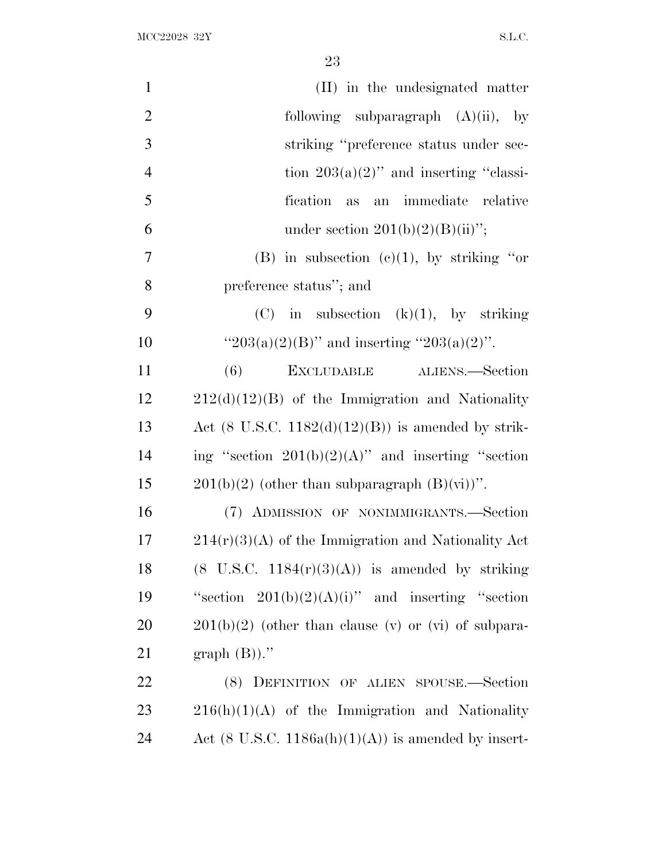| $\mathbf{1}$   | (II) in the undesignated matter                                          |
|----------------|--------------------------------------------------------------------------|
| $\overline{2}$ | following subparagraph $(A)(ii)$ , by                                    |
| 3              | striking "preference status under sec-                                   |
| $\overline{4}$ | tion $203(a)(2)$ " and inserting "classi-                                |
| 5              | fication as<br>an immediate relative                                     |
| 6              | under section $201(b)(2)(B)(ii)$ ";                                      |
| 7              | (B) in subsection (c)(1), by striking "or                                |
| 8              | preference status"; and                                                  |
| 9              | $(C)$ in subsection $(k)(1)$ , by striking                               |
| 10             | " $203(a)(2)(B)$ " and inserting " $203(a)(2)$ ".                        |
| 11             | EXCLUDABLE ALIENS.—Section<br>(6)                                        |
| 12             | $212(d)(12)(B)$ of the Immigration and Nationality                       |
| 13             | Act $(8 \text{ U.S.C. } 1182(d)(12)(B))$ is amended by strik-            |
| 14             | ing "section $201(b)(2)(A)$ " and inserting "section                     |
| 15             | $201(b)(2)$ (other than subparagraph $(B)(vi)$ )".                       |
| 16             | (7) ADMISSION OF NONIMMIGRANTS.-Section                                  |
| 17             | $214(r)(3)(A)$ of the Immigration and Nationality Act                    |
| 18             | $(8 \text{ U.S.C. } 1184(\text{r})(3)(\text{A}))$ is amended by striking |
| 19             | "section $201(b)(2)(A)(i)$ " and inserting "section"                     |
| 20             | $201(b)(2)$ (other than clause (v) or (vi) of subpara-                   |
| 21             | $graph(B)$ ."                                                            |
| 22             | DEFINITION OF ALIEN SPOUSE.-Section<br>(8)                               |
| 23             | $216(h)(1)(A)$ of the Immigration and Nationality                        |
| 24             | Act (8 U.S.C. $1186a(h)(1)(A)$ ) is amended by insert-                   |